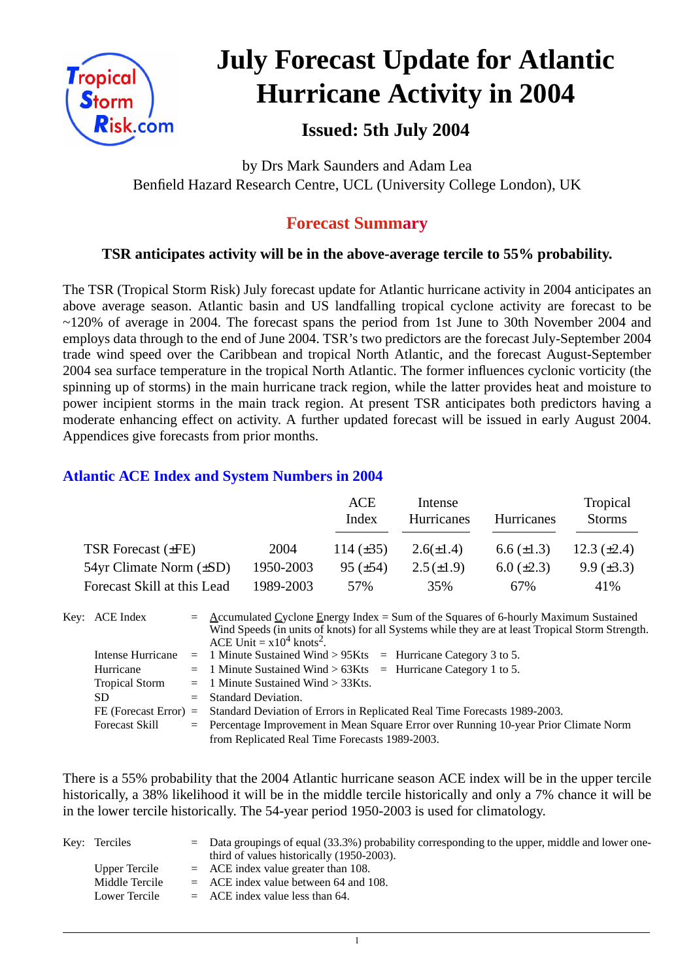

# **July Forecast Update for Atlantic Hurricane Activity in 2004**

# **Issued: 5th July 2004**

by Drs Mark Saunders and Adam Lea Benfield Hazard Research Centre, UCL (University College London), UK

## **Forecast Summary**

## **TSR anticipates activity will be in the above-average tercile to 55% probability.**

The TSR (Tropical Storm Risk) July forecast update for Atlantic hurricane activity in 2004 anticipates an above average season. Atlantic basin and US landfalling tropical cyclone activity are forecast to be ~120% of average in 2004. The forecast spans the period from 1st June to 30th November 2004 and employs data through to the end of June 2004. TSR's two predictors are the forecast July-September 2004 trade wind speed over the Caribbean and tropical North Atlantic, and the forecast August-September 2004 sea surface temperature in the tropical North Atlantic. The former influences cyclonic vorticity (the spinning up of storms) in the main hurricane track region, while the latter provides heat and moisture to power incipient storms in the main track region. At present TSR anticipates both predictors having a moderate enhancing effect on activity. A further updated forecast will be issued in early August 2004. Appendices give forecasts from prior months.

## **Atlantic ACE Index and System Numbers in 2004**

|                              |           | ACE<br>Index    | Intense<br>Hurricanes | <b>Hurricanes</b> | Tropical<br><b>Storms</b> |
|------------------------------|-----------|-----------------|-----------------------|-------------------|---------------------------|
| TSR Forecast $(\pm FE)$      | 2004      | 114 $(\pm 35)$  | $2.6(\pm 1.4)$        | $6.6 \ (\pm 1.3)$ | 12.3 $(\pm 2.4)$          |
| 54yr Climate Norm $(\pm SD)$ | 1950-2003 | $95 \ (\pm 54)$ | $2.5(\pm 1.9)$        | $6.0 \ (\pm 2.3)$ | $9.9 \ (\pm 3.3)$         |
| Forecast Skill at this Lead  | 1989-2003 | 57%             | 35%                   | 67%               | 41%                       |

| Key: ACE Index        | $=$ Accumulated Cyclone Energy Index = Sum of the Squares of 6-hourly Maximum Sustained<br>Wind Speeds (in units of knots) for all Systems while they are at least Tropical Storm Strength.<br>ACE Unit = $x10^4$ knots <sup>2</sup> . |
|-----------------------|----------------------------------------------------------------------------------------------------------------------------------------------------------------------------------------------------------------------------------------|
|                       | Intense Hurricane = 1 Minute Sustained Wind > $95Kts$ = Hurricane Category 3 to 5.                                                                                                                                                     |
| Hurricane             | $=$ 1 Minute Sustained Wind > 63Kts $=$ Hurricane Category 1 to 5.                                                                                                                                                                     |
| <b>Tropical Storm</b> | $=$ 1 Minute Sustained Wind $>$ 33Kts.                                                                                                                                                                                                 |
| SD.                   | $=$ Standard Deviation.                                                                                                                                                                                                                |
|                       | FE (Forecast Error) = Standard Deviation of Errors in Replicated Real Time Forecasts 1989-2003.                                                                                                                                        |
| <b>Forecast Skill</b> | = Percentage Improvement in Mean Square Error over Running 10-year Prior Climate Norm                                                                                                                                                  |
|                       | from Replicated Real Time Forecasts 1989-2003.                                                                                                                                                                                         |

There is a 55% probability that the 2004 Atlantic hurricane season ACE index will be in the upper tercile historically, a 38% likelihood it will be in the middle tercile historically and only a 7% chance it will be in the lower tercile historically. The 54-year period 1950-2003 is used for climatology.

| Key: Terciles  | $\epsilon$ Data groupings of equal (33.3%) probability corresponding to the upper, middle and lower one-<br>third of values historically (1950-2003). |
|----------------|-------------------------------------------------------------------------------------------------------------------------------------------------------|
| Upper Tercile  | $=$ ACE index value greater than 108.                                                                                                                 |
| Middle Tercile | $=$ ACE index value between 64 and 108.                                                                                                               |
| Lower Tercile  | $=$ ACE index value less than 64.                                                                                                                     |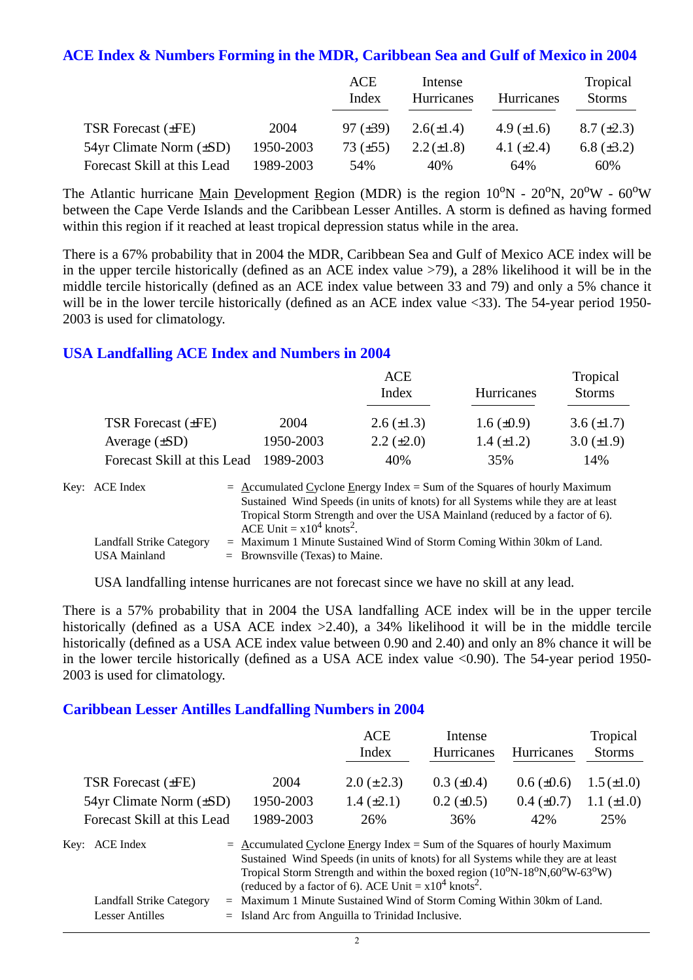#### **ACE Index & Numbers Forming in the MDR, Caribbean Sea and Gulf of Mexico in 2004**

|                                |           | ACE<br>Index    | Intense<br>Hurricanes | <b>Hurricanes</b> | Tropical<br><b>Storms</b> |
|--------------------------------|-----------|-----------------|-----------------------|-------------------|---------------------------|
| TSR Forecast $(\pm FE)$        | 2004      | $97 \ (\pm 39)$ | $2.6(\pm 1.4)$        | 4.9 $(\pm 1.6)$   | $8.7 \ (\pm 2.3)$         |
| $54yr$ Climate Norm $(\pm SD)$ | 1950-2003 | 73 $(\pm 55)$   | $2.2 (\pm 1.8)$       | 4.1 $(\pm 2.4)$   | 6.8 $(\pm 3.2)$           |
| Forecast Skill at this Lead    | 1989-2003 | 54%             | 40%                   | 64%               | 60%                       |

The Atlantic hurricane Main Development Region (MDR) is the region  $10^{\circ}N - 20^{\circ}N$ ,  $20^{\circ}W - 60^{\circ}W$ between the Cape Verde Islands and the Caribbean Lesser Antilles. A storm is defined as having formed within this region if it reached at least tropical depression status while in the area.

There is a 67% probability that in 2004 the MDR, Caribbean Sea and Gulf of Mexico ACE index will be in the upper tercile historically (defined as an ACE index value >79), a 28% likelihood it will be in the middle tercile historically (defined as an ACE index value between 33 and 79) and only a 5% chance it will be in the lower tercile historically (defined as an ACE index value <33). The 54-year period 1950-2003 is used for climatology.

### **USA Landfalling ACE Index and Numbers in 2004**

|                             |           | ACE<br>Index      | <b>Hurricanes</b> | Tropical<br><b>Storms</b> |
|-----------------------------|-----------|-------------------|-------------------|---------------------------|
| TSR Forecast $(\pm FE)$     | 2004      | $2.6 (\pm 1.3)$   | $1.6 \ (\pm 0.9)$ | $3.6 \ (\pm 1.7)$         |
| Average $(\pm SD)$          | 1950-2003 | $2.2 \ (\pm 2.0)$ | $1.4 \ (\pm 1.2)$ | $3.0 (\pm 1.9)$           |
| Forecast Skill at this Lead | 1989-2003 | 40%               | 35%               | 14%                       |

| Key: ACE Index           | $=$ Accumulated Cyclone Energy Index $=$ Sum of the Squares of hourly Maximum                                            |
|--------------------------|--------------------------------------------------------------------------------------------------------------------------|
|                          | Sustained Wind Speeds (in units of knots) for all Systems while they are at least                                        |
|                          | Tropical Storm Strength and over the USA Mainland (reduced by a factor of 6).<br>ACE Unit = $x10^4$ knots <sup>2</sup> . |
| Landfall Strike Category | $=$ Maximum 1 Minute Sustained Wind of Storm Coming Within 30km of Land.                                                 |
| USA Mainland             | $=$ Brownsville (Texas) to Maine.                                                                                        |

USA landfalling intense hurricanes are not forecast since we have no skill at any lead.

There is a 57% probability that in 2004 the USA landfalling ACE index will be in the upper tercile historically (defined as a USA ACE index  $>2.40$ ), a 34% likelihood it will be in the middle tercile historically (defined as a USA ACE index value between 0.90 and 2.40) and only an 8% chance it will be in the lower tercile historically (defined as a USA ACE index value  $\langle 0.90 \rangle$ ). The 54-year period 1950-2003 is used for climatology.

#### **Caribbean Lesser Antilles Landfalling Numbers in 2004**

|                                                                                                                                                                                                                                                                                                                                                                      |           | <b>ACE</b><br>Index                                                  | Intense<br>Hurricanes | Hurricanes      | Tropical<br><b>Storms</b> |
|----------------------------------------------------------------------------------------------------------------------------------------------------------------------------------------------------------------------------------------------------------------------------------------------------------------------------------------------------------------------|-----------|----------------------------------------------------------------------|-----------------------|-----------------|---------------------------|
| <b>TSR Forecast (±FE)</b>                                                                                                                                                                                                                                                                                                                                            | 2004      | $2.0 (\pm 2.3)$                                                      | $0.3 \ (\pm 0.4)$     | $0.6 (\pm 0.6)$ | $1.5 (\pm 1.0)$           |
| $54yr$ Climate Norm $(\pm SD)$                                                                                                                                                                                                                                                                                                                                       | 1950-2003 | $1.4 (\pm 2.1)$                                                      | $0.2 \ (\pm 0.5)$     | $0.4~(\pm 0.7)$ | 1.1 $(\pm 1.0)$           |
| Forecast Skill at this Lead                                                                                                                                                                                                                                                                                                                                          | 1989-2003 | 26%                                                                  | 36%                   | 42%             | 25%                       |
| $=$ Accumulated Cyclone Energy Index = Sum of the Squares of hourly Maximum<br>Key: ACE Index<br>Sustained Wind Speeds (in units of knots) for all Systems while they are at least<br>Tropical Storm Strength and within the boxed region $(10^{\circ}N-18^{\circ}N,60^{\circ}W-63^{\circ}W)$<br>(reduced by a factor of 6). ACE Unit = $x10^4$ knots <sup>2</sup> . |           |                                                                      |                       |                 |                           |
| Landfall Strike Category<br>$=$                                                                                                                                                                                                                                                                                                                                      |           | Maximum 1 Minute Sustained Wind of Storm Coming Within 30km of Land. |                       |                 |                           |

| $=$ Island Arc from Anguilla to Trinidad Inclusive.<br><b>Lesser Antilles</b> |
|-------------------------------------------------------------------------------|
|-------------------------------------------------------------------------------|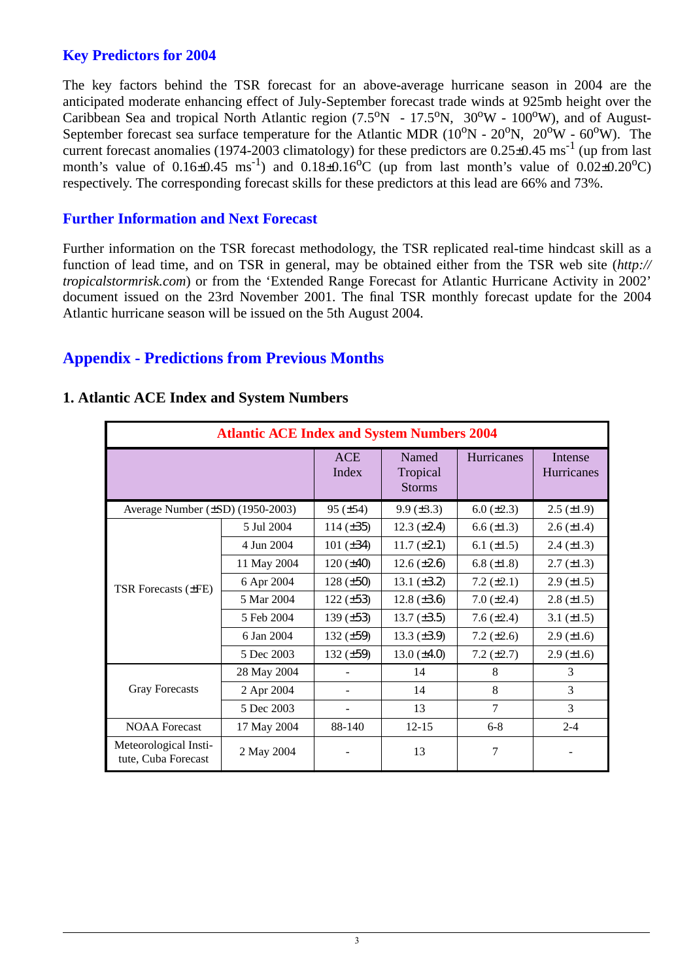## **Key Predictors for 2004**

The key factors behind the TSR forecast for an above-average hurricane season in 2004 are the anticipated moderate enhancing effect of July-September forecast trade winds at 925mb height over the Caribbean Sea and tropical North Atlantic region  $(7.5^{\circ}N - 17.5^{\circ}N, 30^{\circ}W - 100^{\circ}W)$ , and of August-September forecast sea surface temperature for the Atlantic MDR  $(10^{\circ}N - 20^{\circ}N, 20^{\circ}W - 60^{\circ}W)$ . The current forecast anomalies (1974-2003 climatology) for these predictors are  $0.25\pm0.45$  ms<sup>-1</sup> (up from last month's value of  $0.16\pm0.45$  ms<sup>-1</sup>) and  $0.18\pm0.16$ °C (up from last month's value of  $0.02\pm0.20$ °C) respectively. The corresponding forecast skills for these predictors at this lead are 66% and 73%.

### **Further Information and Next Forecast**

Further information on the TSR forecast methodology, the TSR replicated real-time hindcast skill as a function of lead time, and on TSR in general, may be obtained either from the TSR web site (*http:// tropicalstormrisk.com*) or from the 'Extended Range Forecast for Atlantic Hurricane Activity in 2002' document issued on the 23rd November 2001. The final TSR monthly forecast update for the 2004 Atlantic hurricane season will be issued on the 5th August 2004.

## **Appendix - Predictions from Previous Months**

| <b>Atlantic ACE Index and System Numbers 2004</b> |             |                |                                    |                    |                       |  |  |
|---------------------------------------------------|-------------|----------------|------------------------------------|--------------------|-----------------------|--|--|
|                                                   |             | ACE<br>Index   | Named<br>Tropical<br><b>Storms</b> | Hurricanes         | Intense<br>Hurricanes |  |  |
| Average Number $(\pm SD)$ (1950-2003)             |             | $95 (\pm 54)$  | $9.9 \ (\pm 3.3)$                  | $6.0 (\pm 2.3)$    | $2.5 \ (\pm 1.9)$     |  |  |
|                                                   | 5 Jul 2004  | 114 $(\pm 35)$ | $12.3 \ (\pm 2.4)$                 | $6.6 \, (\pm 1.3)$ | $2.6 \ (\pm 1.4)$     |  |  |
|                                                   | 4 Jun 2004  | 101 $(\pm 34)$ | $11.7 (\pm 2.1)$                   | 6.1 $(\pm 1.5)$    | $2.4 \ (\pm 1.3)$     |  |  |
|                                                   | 11 May 2004 | $120 (\pm 40)$ | $12.6 \, (\pm 2.6)$                | 6.8 $(\pm 1.8)$    | $2.7 (\pm 1.3)$       |  |  |
| <b>TSR Forecasts (±FE)</b>                        | 6 Apr 2004  | $128 (\pm 50)$ | 13.1 $(\pm 3.2)$                   | 7.2 $(\pm 2.1)$    | $2.9 \ (\pm 1.5)$     |  |  |
|                                                   | 5 Mar 2004  | $122 (\pm 53)$ | 12.8 $(\pm 3.6)$                   | $7.0 (\pm 2.4)$    | $2.8 \ (\pm 1.5)$     |  |  |
|                                                   | 5 Feb 2004  | 139 $(\pm 53)$ | $13.7 (\pm 3.5)$                   | 7.6 $(\pm 2.4)$    | 3.1 $(\pm 1.5)$       |  |  |
|                                                   | 6 Jan 2004  | 132 $(\pm 59)$ | $13.3 \ (\pm 3.9)$                 | 7.2 $(\pm 2.6)$    | $2.9 \ (\pm 1.6)$     |  |  |
|                                                   | 5 Dec 2003  | 132 $(\pm 59)$ | $13.0 (\pm 4.0)$                   | 7.2 $(\pm 2.7)$    | $2.9 \ (\pm 1.6)$     |  |  |
|                                                   | 28 May 2004 |                | 14                                 | 8                  | 3                     |  |  |
| <b>Gray Forecasts</b>                             | 2 Apr 2004  |                | 14                                 | 8                  | 3                     |  |  |
|                                                   | 5 Dec 2003  |                | 13                                 | $\tau$             | 3                     |  |  |
| <b>NOAA</b> Forecast                              | 17 May 2004 | 88-140         | $12 - 15$                          | $6 - 8$            | $2 - 4$               |  |  |
| Meteorological Insti-<br>tute, Cuba Forecast      | 2 May 2004  |                | 13                                 | 7                  |                       |  |  |

#### **1. Atlantic ACE Index and System Numbers**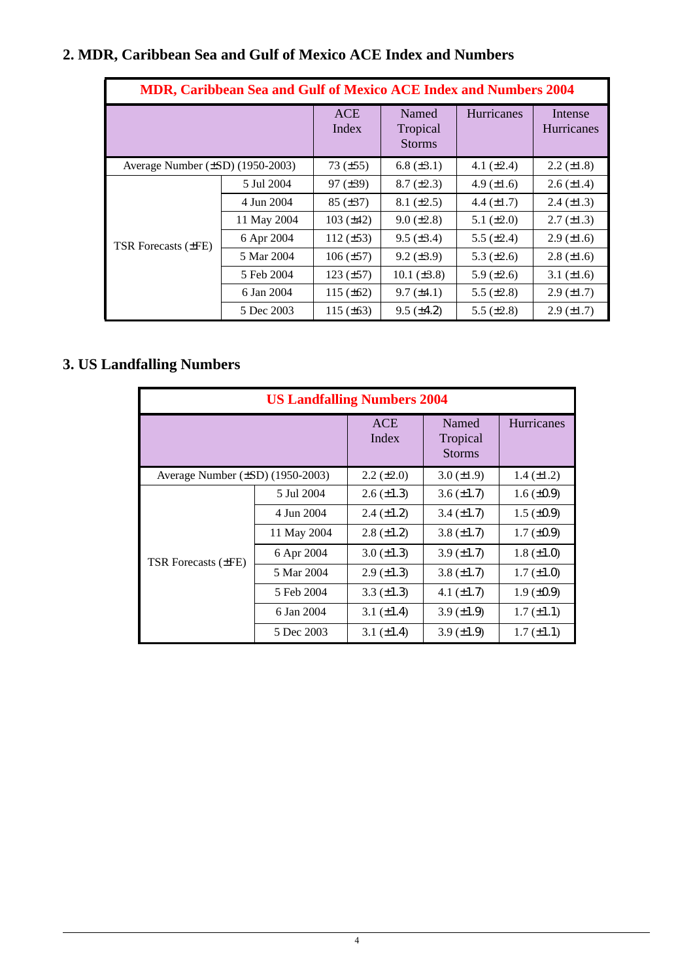# **2. MDR, Caribbean Sea and Gulf of Mexico ACE Index and Numbers**

| <b>MDR, Caribbean Sea and Gulf of Mexico ACE Index and Numbers 2004</b> |             |                     |                                    |                   |                              |  |  |
|-------------------------------------------------------------------------|-------------|---------------------|------------------------------------|-------------------|------------------------------|--|--|
|                                                                         |             | <b>ACE</b><br>Index | Named<br>Tropical<br><b>Storms</b> | <b>Hurricanes</b> | Intense<br><b>Hurricanes</b> |  |  |
| Average Number $(\pm SD)$ (1950-2003)                                   |             | $73 (\pm 55)$       | $6.8 \ (\pm 3.1)$                  | 4.1 $(\pm 2.4)$   | $2.2 \ (\pm 1.8)$            |  |  |
|                                                                         | 5 Jul 2004  | $97 (\pm 39)$       | $8.7 (\pm 2.3)$                    | 4.9 $(\pm 1.6)$   | $2.6 \ (\pm 1.4)$            |  |  |
|                                                                         | 4 Jun 2004  | $85 (\pm 37)$       | $8.1 (\pm 2.5)$                    | 4.4 $(\pm 1.7)$   | $2.4 \ (\pm 1.3)$            |  |  |
|                                                                         | 11 May 2004 | 103 $(\pm 42)$      | $9.0 \ (\pm 2.8)$                  | 5.1 $(\pm 2.0)$   | $2.7 \ (\pm 1.3)$            |  |  |
| TSR Forecasts $(\pm FE)$                                                | 6 Apr 2004  | 112 $(\pm 53)$      | $9.5 \ (\pm 3.4)$                  | 5.5 $(\pm 2.4)$   | $2.9 \ (\pm 1.6)$            |  |  |
|                                                                         | 5 Mar 2004  | $106 (\pm 57)$      | $9.2 \ (\pm 3.9)$                  | 5.3 $(\pm 2.6)$   | $2.8 (\pm 1.6)$              |  |  |
|                                                                         | 5 Feb 2004  | $123 (\pm 57)$      | 10.1 $(\pm 3.8)$                   | 5.9 $(\pm 2.6)$   | 3.1 $(\pm 1.6)$              |  |  |
|                                                                         | 6 Jan 2004  | 115 $(\pm 62)$      | $9.7 (\pm 4.1)$                    | 5.5 $(\pm 2.8)$   | $2.9 \ (\pm 1.7)$            |  |  |
|                                                                         | 5 Dec 2003  | 115 $(\pm 63)$      | $9.5 \ (\pm 4.2)$                  | 5.5 $(\pm 2.8)$   | $2.9 \ (\pm 1.7)$            |  |  |

# **3. US Landfalling Numbers**

| <b>US Landfalling Numbers 2004</b>    |                     |                                    |                   |                   |  |  |  |
|---------------------------------------|---------------------|------------------------------------|-------------------|-------------------|--|--|--|
|                                       | <b>ACE</b><br>Index | Named<br>Tropical<br><b>Storms</b> | <b>Hurricanes</b> |                   |  |  |  |
| Average Number $(\pm SD)$ (1950-2003) | $2.2 (\pm 2.0)$     | $3.0 (\pm 1.9)$                    | $1.4 (\pm 1.2)$   |                   |  |  |  |
|                                       | 5 Jul 2004          | $2.6 (\pm 1.3)$                    | $3.6 (\pm 1.7)$   | $1.6 \ (\pm 0.9)$ |  |  |  |
|                                       | 4 Jun 2004          | $2.4 \ (\pm 1.2)$                  | $3.4 \ (\pm 1.7)$ | $1.5 \ (\pm 0.9)$ |  |  |  |
|                                       | 11 May 2004         | $2.8 (\pm 1.2)$                    | $3.8 (\pm 1.7)$   | $1.7 \ (\pm 0.9)$ |  |  |  |
| TSR Forecasts (±FE)                   | 6 Apr 2004          | $3.0 (\pm 1.3)$                    | $3.9 \ (\pm 1.7)$ | $1.8 (\pm 1.0)$   |  |  |  |
|                                       | 5 Mar 2004          | $2.9 \ (\pm 1.3)$                  | $3.8 (\pm 1.7)$   | $1.7 (\pm 1.0)$   |  |  |  |
|                                       | 5 Feb 2004          | 3.3 $(\pm 1.3)$                    | 4.1 $(\pm 1.7)$   | $1.9 \ (\pm 0.9)$ |  |  |  |
|                                       | 6 Jan 2004          | 3.1 $(\pm 1.4)$                    | $3.9 (\pm 1.9)$   | $1.7 (\pm 1.1)$   |  |  |  |
|                                       | 5 Dec 2003          | 3.1 $(\pm 1.4)$                    | $3.9 \ (\pm 1.9)$ | $1.7 (\pm 1.1)$   |  |  |  |